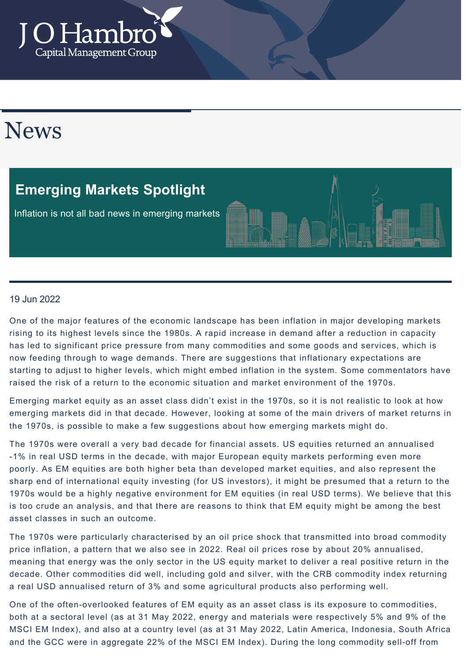

# News

### **Emerging Markets Spotlight**

Inflation is not all bad news in emerging markets



#### 19 Jun 2022

One of the major features of the economic landscape has been inflation in major developing markets rising to its highest levels since the 1980s. A rapid increase in demand after a reduction in capacity has led to significant price pressure from many commodities and some goods and services, which is now feeding through to wage demands. There are suggestions that inflationary expectations are starting to adjust to higher levels, which might embed inflation in the system. Some commentators have raised the risk of a return to the economic situation and market environment of the 1970s.

Emerging market equity as an asset class didn't exist in the 1970s, so it is not realistic to look at how emerging markets did in that decade. However, looking at some of the main drivers of market returns in the 1970s, is possible to make a few suggestions about how emerging markets might do.

The 1970s were overall a very bad decade for financial assets. US equities returned an annualised -1% in real USD terms in the decade, with major European equity markets performing even more poorly. As EM equities are both higher beta than developed market equities, and also represent the sharp end of international equity investing (for US investors), it might be presumed that a return to the 1970s would be a highly negative environment for EM equities (in real USD terms). We believe that this is too crude an analysis, and that there are reasons to think that EM equity might be among the best asset classes in such an outcome.

The 1970s were particularly characterised by an oil price shock that transmitted into broad commodity price inflation, a pattern that we also see in 2022. Real oil prices rose by about 20% annualised, meaning that energy was the only sector in the US equity market to deliver a real positive return in the decade. Other commodities did well, including gold and silver, with the CRB commodity index returning a real USD annualised return of 3% and some agricultural products also performing well.

One of the often-overlooked features of EM equity as an asset class is its exposure to commodities, both at a sectoral level (as at 31 May 2022, energy and materials were respectively 5% and 9% of the MSCI EM Index), and also at a country level (as at 31 May 2022, Latin America, Indonesia, South Africa and the GCC were in aggregate 22% of the MSCI EM Index). During the long commodity sell-off from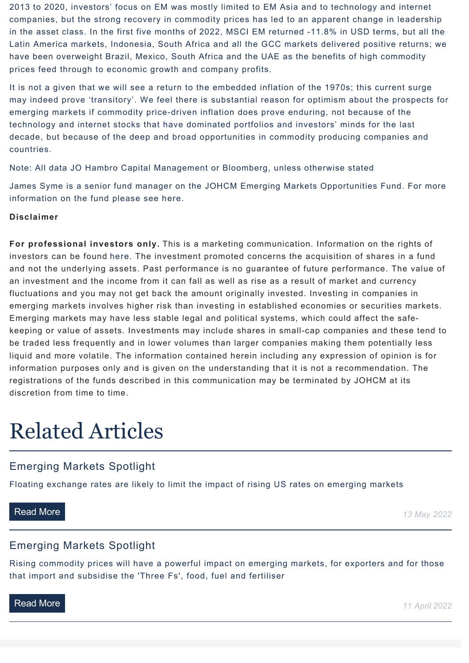2013 to 2020, investors' focus on EM was mostly limited to EM Asia and to technology and internet companies, but the strong recovery in commodity prices has led to an apparent change in leadership in the asset class. In the first five months of 2022, MSCI EM returned -11.8% in USD terms, but all the Latin America markets, Indonesia, South Africa and all the GCC markets delivered positive returns; we have been overweight Brazil, Mexico, South Africa and the UAE as the benefits of high commodity prices feed through to economic growth and company profits.

It is not a given that we will see a return to the embedded inflation of the 1970s; this current surge may indeed prove 'transitory'. We feel there is substantial reason for optimism about the prospects for emerging markets if commodity price-driven inflation does prove enduring, not because of the technology and internet stocks that have dominated portfolios and investors' minds for the last decade, but because of the deep and broad opportunities in commodity producing companies and countries.

Note: All data JO Hambro Capital Management or Bloomberg, unless otherwise stated

James Syme is a senior fund manager on the JOHCM Emerging Markets Opportunities Fund. For more information on the fund please see [here](https://www.johcm.com/uk/our-funds/fund-details-JOH-EMO/johcm-global-emerging-markets-opportunities-fund#overview).

#### **Disclaimer**

**For professional investors only.** This is a marketing communication. Information on the rights of investors can be found [here](https://johcm.com/uk/about-us/605/investor-rights). The investment promoted concerns the acquisition of shares in a fund and not the underlying assets. Past performance is no guarantee of future performance. The value of an investment and the income from it can fall as well as rise as a result of market and currency fluctuations and you may not get back the amount originally invested. Investing in companies in emerging markets involves higher risk than investing in established economies or securities markets. Emerging markets may have less stable legal and political systems, which could affect the safekeeping or value of assets. Investments may include shares in small-cap companies and these tend to be traded less frequently and in lower volumes than larger companies making them potentially less liquid and more volatile. The information contained herein including any expression of opinion is for information purposes only and is given on the understanding that it is not a recommendation. The registrations of the funds described in this communication may be terminated by JOHCM at its discretion from time to time.

# Related Articles

### Emerging Markets Spotlight

[Floating exchange rates are likely to limit the impact of rising US rates on emerging markets](https://johcm-demo.akikodesign.com/uk/news-views/details/2648/emerging-markets-spotlight)

**[Read More](https://johcm-demo.akikodesign.com/uk/news-views/details/2648/emerging-markets-spotlight) 13 May 2022** 

### Emerging Markets Spotlight

[Rising commodity prices will have a powerful impact on emerging markets, for exporters and for those](https://johcm-demo.akikodesign.com/uk/news-views/details/2614/emerging-markets-spotlight) that import and subsidise the 'Three Fs', food, fuel and fertiliser

**[Read More](https://johcm-demo.akikodesign.com/uk/news-views/details/2614/emerging-markets-spotlight) 11 April 2022**